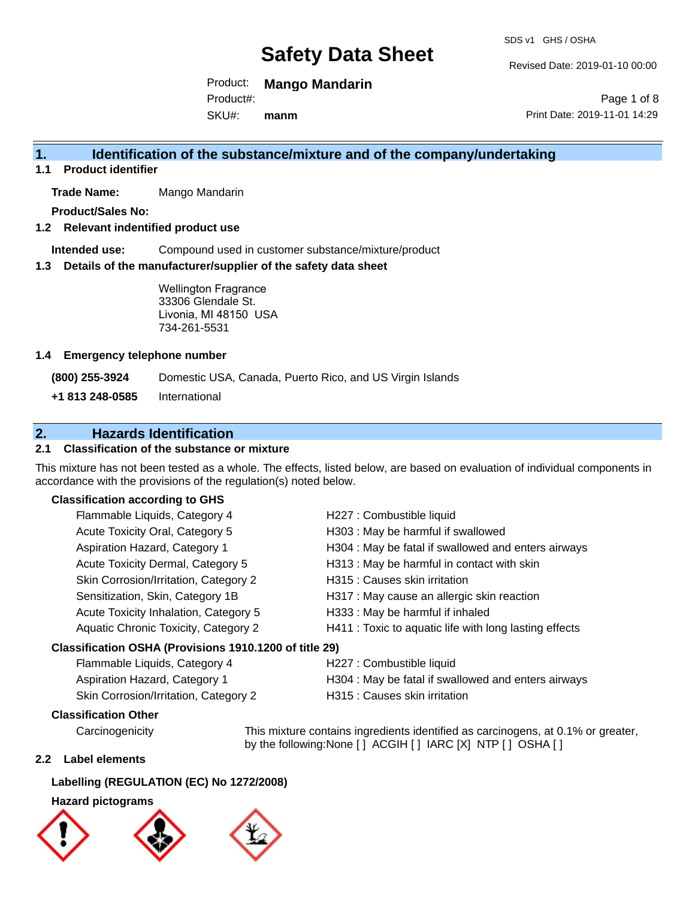Revised Date: 2019-01-10 00:00

Product: **Mango Mandarin**

SKU#: Product#: **manm**

Page 1 of 8 Print Date: 2019-11-01 14:29

## **1. Identification of the substance/mixture and of the company/undertaking**

**1.1 Product identifier**

**Trade Name:** Mango Mandarin

**Product/Sales No:**

**1.2 Relevant indentified product use**

**Intended use:** Compound used in customer substance/mixture/product

**1.3 Details of the manufacturer/supplier of the safety data sheet**

Wellington Fragrance 33306 Glendale St. Livonia, MI 48150 USA 734-261-5531

#### **1.4 Emergency telephone number**

**(800) 255-3924** Domestic USA, Canada, Puerto Rico, and US Virgin Islands

**+1 813 248-0585** International

### **2. Hazards Identification**

#### **2.1 Classification of the substance or mixture**

This mixture has not been tested as a whole. The effects, listed below, are based on evaluation of individual components in accordance with the provisions of the regulation(s) noted below.

#### **Classification according to GHS**

| Flammable Liquids, Category 4                          | H227 : Combustible liquid                              |
|--------------------------------------------------------|--------------------------------------------------------|
| Acute Toxicity Oral, Category 5                        | H303 : May be harmful if swallowed                     |
| Aspiration Hazard, Category 1                          | H304 : May be fatal if swallowed and enters airways    |
| Acute Toxicity Dermal, Category 5                      | H313 : May be harmful in contact with skin             |
| Skin Corrosion/Irritation, Category 2                  | H315 : Causes skin irritation                          |
| Sensitization, Skin, Category 1B                       | H317 : May cause an allergic skin reaction             |
| Acute Toxicity Inhalation, Category 5                  | H333: May be harmful if inhaled                        |
| Aquatic Chronic Toxicity, Category 2                   | H411 : Toxic to aquatic life with long lasting effects |
| Classification OSHA (Provisions 1910.1200 of title 29) |                                                        |
| Flammable Liquids, Category 4                          | H227 : Combustible liquid                              |
|                                                        |                                                        |

#### Aspiration Hazard, Category 1 **H304** : May be fatal if swallowed and enters airways

Skin Corrosion/Irritation, Category 2 H315 : Causes skin irritation

#### **Classification Other**

Carcinogenicity This mixture contains ingredients identified as carcinogens, at 0.1% or greater, by the following:None [ ] ACGIH [ ] IARC [X] NTP [ ] OSHA [ ]

#### **2.2 Label elements**

#### **Labelling (REGULATION (EC) No 1272/2008)**

#### **Hazard pictograms**





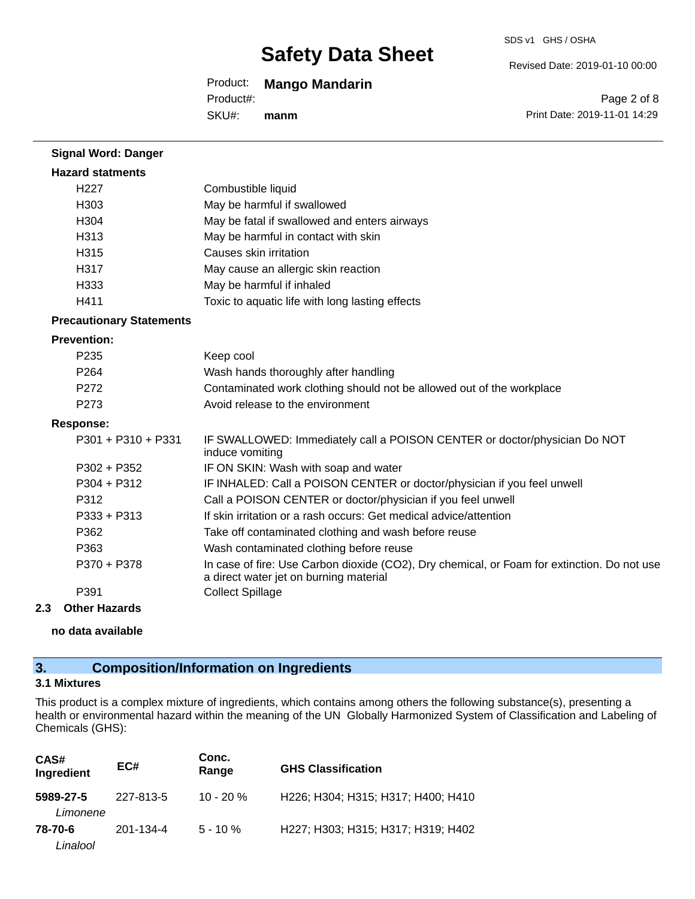#### SDS v1 GHS / OSHA

Revised Date: 2019-01-10 00:00

Print Date: 2019-11-01 14:29

Page 2 of 8

### Product: **Mango Mandarin**

Product#:

SKU#: **manm**

| <b>Signal Word: Danger</b>      |                                                                                                                                       |
|---------------------------------|---------------------------------------------------------------------------------------------------------------------------------------|
| <b>Hazard statments</b>         |                                                                                                                                       |
| H <sub>227</sub>                | Combustible liquid                                                                                                                    |
| H303                            | May be harmful if swallowed                                                                                                           |
| H304                            | May be fatal if swallowed and enters airways                                                                                          |
| H313                            | May be harmful in contact with skin                                                                                                   |
| H315                            | Causes skin irritation                                                                                                                |
| H317                            | May cause an allergic skin reaction                                                                                                   |
| H333                            | May be harmful if inhaled                                                                                                             |
| H411                            | Toxic to aquatic life with long lasting effects                                                                                       |
| <b>Precautionary Statements</b> |                                                                                                                                       |
| <b>Prevention:</b>              |                                                                                                                                       |
| P235                            | Keep cool                                                                                                                             |
| P264                            | Wash hands thoroughly after handling                                                                                                  |
| P <sub>272</sub>                | Contaminated work clothing should not be allowed out of the workplace                                                                 |
| P273                            | Avoid release to the environment                                                                                                      |
| <b>Response:</b>                |                                                                                                                                       |
| $P301 + P310 + P331$            | IF SWALLOWED: Immediately call a POISON CENTER or doctor/physician Do NOT<br>induce vomiting                                          |
| $P302 + P352$                   | IF ON SKIN: Wash with soap and water                                                                                                  |
| P304 + P312                     | IF INHALED: Call a POISON CENTER or doctor/physician if you feel unwell                                                               |
| P312                            | Call a POISON CENTER or doctor/physician if you feel unwell                                                                           |
| $P333 + P313$                   | If skin irritation or a rash occurs: Get medical advice/attention                                                                     |
| P362                            | Take off contaminated clothing and wash before reuse                                                                                  |
| P363                            | Wash contaminated clothing before reuse                                                                                               |
| P370 + P378                     | In case of fire: Use Carbon dioxide (CO2), Dry chemical, or Foam for extinction. Do not use<br>a direct water jet on burning material |
| P391                            | <b>Collect Spillage</b>                                                                                                               |
|                                 |                                                                                                                                       |

#### **2.3 Other Hazards**

**no data available**

## **3. Composition/Information on Ingredients**

#### **3.1 Mixtures**

This product is a complex mixture of ingredients, which contains among others the following substance(s), presenting a health or environmental hazard within the meaning of the UN Globally Harmonized System of Classification and Labeling of Chemicals (GHS):

| CAS#<br>Ingredient    | EC#       | Conc.<br>Range | <b>GHS Classification</b>          |
|-----------------------|-----------|----------------|------------------------------------|
| 5989-27-5<br>Limonene | 227-813-5 | $10 - 20%$     | H226; H304; H315; H317; H400; H410 |
| 78-70-6<br>Linalool   | 201-134-4 | $5 - 10 \%$    | H227; H303; H315; H317; H319; H402 |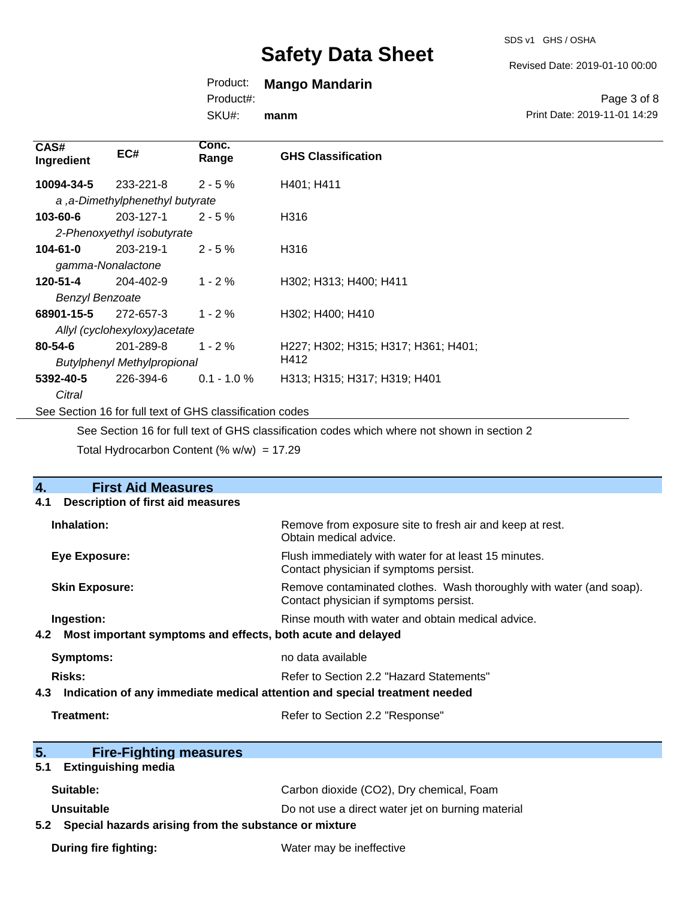#### Revised Date: 2019-01-10 00:00

## Product: **Mango Mandarin**

Product#:

SKU#: **manm**

Page 3 of 8 Print Date: 2019-11-01 14:29

| CAS#<br>Ingredient                                       | EC#                             | Conc.<br>Range | <b>GHS Classification</b>           |
|----------------------------------------------------------|---------------------------------|----------------|-------------------------------------|
| 10094-34-5                                               | 233-221-8                       | $2 - 5%$       | H401; H411                          |
|                                                          | a, a-Dimethylphenethyl butyrate |                |                                     |
| 103-60-6                                                 | 203-127-1                       | $2 - 5%$       | H316                                |
|                                                          | 2-Phenoxyethyl isobutyrate      |                |                                     |
| $104 - 61 - 0$                                           | 203-219-1                       | $2 - 5%$       | H316                                |
| gamma-Nonalactone                                        |                                 |                |                                     |
| 120-51-4                                                 | 204-402-9                       | $1 - 2%$       | H302; H313; H400; H411              |
| <b>Benzyl Benzoate</b>                                   |                                 |                |                                     |
| 68901-15-5                                               | 272-657-3                       | $1 - 2 \%$     | H302; H400; H410                    |
|                                                          | Allyl (cyclohexyloxy) acetate   |                |                                     |
| $80 - 54 - 6$                                            | 201-289-8                       | $1 - 2 \%$     | H227; H302; H315; H317; H361; H401; |
| <b>Butylphenyl Methylpropional</b>                       |                                 |                | H412                                |
| 5392-40-5                                                | 226-394-6                       | $0.1 - 1.0 %$  | H313; H315; H317; H319; H401        |
| Citral                                                   |                                 |                |                                     |
| See Section 16 for full text of GHS classification codes |                                 |                |                                     |

See Section 16 for full text of GHS classification codes which where not shown in section 2

Total Hydrocarbon Content (%  $w/w$ ) = 17.29

| <b>First Aid Measures</b><br>4.                                                   |                                                                                                               |
|-----------------------------------------------------------------------------------|---------------------------------------------------------------------------------------------------------------|
| <b>Description of first aid measures</b><br>4.1                                   |                                                                                                               |
| Inhalation:                                                                       | Remove from exposure site to fresh air and keep at rest.<br>Obtain medical advice.                            |
| <b>Eye Exposure:</b>                                                              | Flush immediately with water for at least 15 minutes.<br>Contact physician if symptoms persist.               |
| <b>Skin Exposure:</b>                                                             | Remove contaminated clothes. Wash thoroughly with water (and soap).<br>Contact physician if symptoms persist. |
| Ingestion:                                                                        | Rinse mouth with water and obtain medical advice.                                                             |
| 4.2 Most important symptoms and effects, both acute and delayed                   |                                                                                                               |
| <b>Symptoms:</b>                                                                  | no data available                                                                                             |
| Risks:                                                                            | Refer to Section 2.2 "Hazard Statements"                                                                      |
| Indication of any immediate medical attention and special treatment needed<br>4.3 |                                                                                                               |
| Treatment:                                                                        | Refer to Section 2.2 "Response"                                                                               |
|                                                                                   |                                                                                                               |
| 5.<br><b>Fire-Fighting measures</b>                                               |                                                                                                               |
| <b>Extinguishing media</b><br>5.1                                                 |                                                                                                               |
| Suitable:                                                                         | Carbon dioxide (CO2), Dry chemical, Foam                                                                      |
| Unsuitable                                                                        | Do not use a direct water jet on burning material                                                             |
| 5.2 Special hazards arising from the substance or mixture                         |                                                                                                               |
| <b>During fire fighting:</b>                                                      | Water may be ineffective                                                                                      |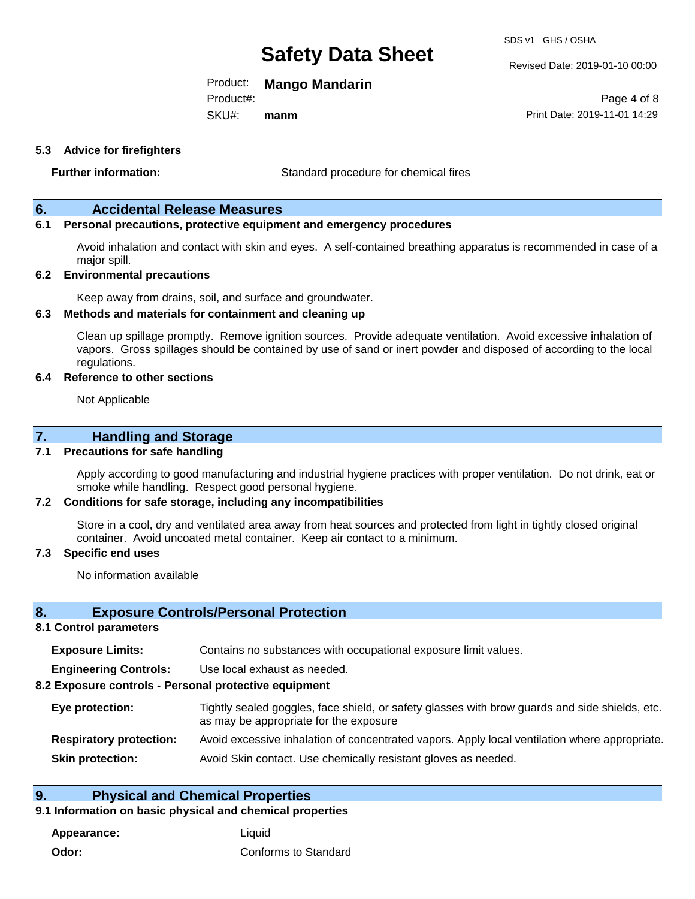Product: **Mango Mandarin**

Product#:

SKU#: **manm**

#### **5.3 Advice for firefighters**

**Further information:** Standard procedure for chemical fires

#### **6. Accidental Release Measures**

#### **6.1 Personal precautions, protective equipment and emergency procedures**

Avoid inhalation and contact with skin and eyes. A self-contained breathing apparatus is recommended in case of a major spill.

#### **6.2 Environmental precautions**

Keep away from drains, soil, and surface and groundwater.

#### **6.3 Methods and materials for containment and cleaning up**

Clean up spillage promptly. Remove ignition sources. Provide adequate ventilation. Avoid excessive inhalation of vapors. Gross spillages should be contained by use of sand or inert powder and disposed of according to the local regulations.

#### **6.4 Reference to other sections**

Not Applicable

#### **7. Handling and Storage**

#### **7.1 Precautions for safe handling**

Apply according to good manufacturing and industrial hygiene practices with proper ventilation. Do not drink, eat or smoke while handling. Respect good personal hygiene.

#### **7.2 Conditions for safe storage, including any incompatibilities**

Store in a cool, dry and ventilated area away from heat sources and protected from light in tightly closed original container. Avoid uncoated metal container. Keep air contact to a minimum.

#### **7.3 Specific end uses**

No information available

#### **8. Exposure Controls/Personal Protection**

#### **8.1 Control parameters**

| <b>Exposure Limits:</b> |  | Contains no substances with occupational exposure limit values. |
|-------------------------|--|-----------------------------------------------------------------|
|-------------------------|--|-----------------------------------------------------------------|

**Engineering Controls:** Use local exhaust as needed.

#### **8.2 Exposure controls - Personal protective equipment**

| Eye protection:                | Tightly sealed goggles, face shield, or safety glasses with brow guards and side shields, etc.<br>as may be appropriate for the exposure |
|--------------------------------|------------------------------------------------------------------------------------------------------------------------------------------|
| <b>Respiratory protection:</b> | Avoid excessive inhalation of concentrated vapors. Apply local ventilation where appropriate.                                            |
| <b>Skin protection:</b>        | Avoid Skin contact. Use chemically resistant gloves as needed.                                                                           |

#### **9. Physical and Chemical Properties**

#### **9.1 Information on basic physical and chemical properties**

**Appearance:** Liquid **Odor:** Conforms to Standard SDS v1 GHS / OSHA

Revised Date: 2019-01-10 00:00

Page 4 of 8 Print Date: 2019-11-01 14:29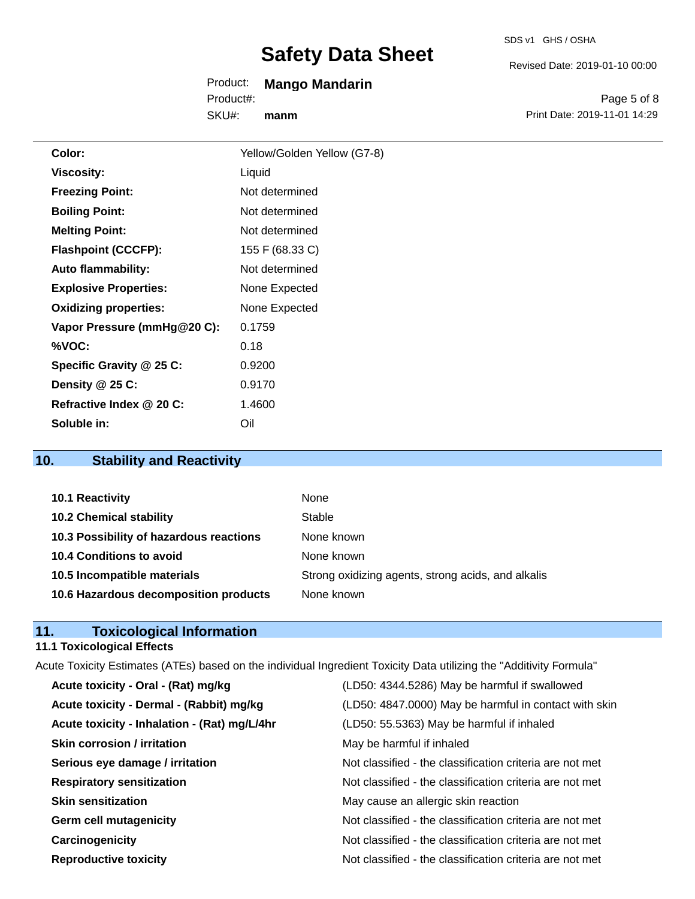Revised Date: 2019-01-10 00:00

Product: **Mango Mandarin** SKU#: Product#: **manm**

Page 5 of 8 Print Date: 2019-11-01 14:29

| Color:                       | Yellow/Golden Yellow (G7-8) |
|------------------------------|-----------------------------|
| Viscosity:                   | Liquid                      |
| <b>Freezing Point:</b>       | Not determined              |
| <b>Boiling Point:</b>        | Not determined              |
| <b>Melting Point:</b>        | Not determined              |
| <b>Flashpoint (CCCFP):</b>   | 155 F (68.33 C)             |
| <b>Auto flammability:</b>    | Not determined              |
| <b>Explosive Properties:</b> | None Expected               |
| <b>Oxidizing properties:</b> | None Expected               |
| Vapor Pressure (mmHg@20 C):  | 0.1759                      |
| %VOC:                        | 0.18                        |
| Specific Gravity @ 25 C:     | 0.9200                      |
| Density $@25C$ :             | 0.9170                      |
| Refractive Index @ 20 C:     | 1.4600                      |
| Soluble in:                  | Oil                         |

## **10. Stability and Reactivity**

| 10.1 Reactivity                         | None                                               |
|-----------------------------------------|----------------------------------------------------|
| <b>10.2 Chemical stability</b>          | Stable                                             |
| 10.3 Possibility of hazardous reactions | None known                                         |
| 10.4 Conditions to avoid                | None known                                         |
| 10.5 Incompatible materials             | Strong oxidizing agents, strong acids, and alkalis |
| 10.6 Hazardous decomposition products   | None known                                         |

### **11. Toxicological Information**

#### **11.1 Toxicological Effects**

| Acute Toxicity Estimates (ATEs) based on the individual Ingredient Toxicity Data utilizing the "Additivity Formula" |                                                          |
|---------------------------------------------------------------------------------------------------------------------|----------------------------------------------------------|
| Acute toxicity - Oral - (Rat) mg/kg                                                                                 | (LD50: 4344.5286) May be harmful if swallowed            |
| Acute toxicity - Dermal - (Rabbit) mg/kg                                                                            | (LD50: 4847.0000) May be harmful in contact with skin    |
| Acute toxicity - Inhalation - (Rat) mg/L/4hr                                                                        | (LD50: 55.5363) May be harmful if inhaled                |
| <b>Skin corrosion / irritation</b>                                                                                  | May be harmful if inhaled                                |
| Serious eye damage / irritation                                                                                     | Not classified - the classification criteria are not met |
| <b>Respiratory sensitization</b>                                                                                    | Not classified - the classification criteria are not met |
| <b>Skin sensitization</b>                                                                                           | May cause an allergic skin reaction                      |
| <b>Germ cell mutagenicity</b>                                                                                       | Not classified - the classification criteria are not met |
| Carcinogenicity                                                                                                     | Not classified - the classification criteria are not met |
| <b>Reproductive toxicity</b>                                                                                        | Not classified - the classification criteria are not met |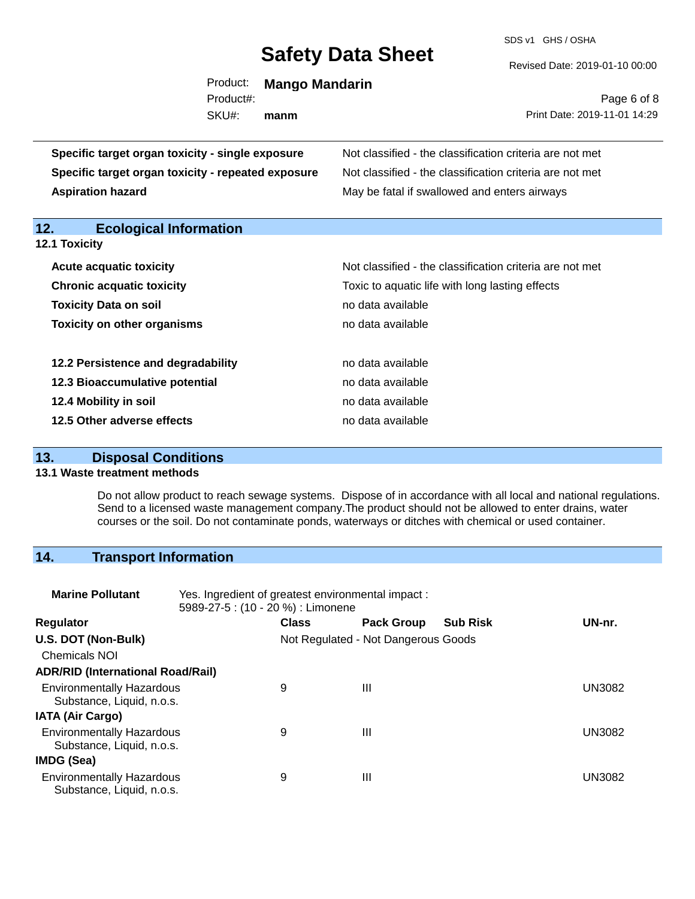SDS v1 GHS / OSHA

#### Revised Date: 2019-01-10 00:00

| Product:  | <b>Mango Mandarin</b> |
|-----------|-----------------------|
| Product#: |                       |
| SKU#:     | manm                  |

Page 6 of 8 Print Date: 2019-11-01 14:29

| Specific target organ toxicity - single exposure   | Not classified - the classification criteria are not met |  |  |  |
|----------------------------------------------------|----------------------------------------------------------|--|--|--|
| Specific target organ toxicity - repeated exposure | Not classified - the classification criteria are not met |  |  |  |
| <b>Aspiration hazard</b>                           | May be fatal if swallowed and enters airways             |  |  |  |
| 12.<br><b>Ecological Information</b>               |                                                          |  |  |  |
| 12.1 Toxicity                                      |                                                          |  |  |  |
| <b>Acute acquatic toxicity</b>                     | Not classified - the classification criteria are not met |  |  |  |
| <b>Chronic acquatic toxicity</b>                   | Toxic to aquatic life with long lasting effects          |  |  |  |
| <b>Toxicity Data on soil</b>                       | no data available                                        |  |  |  |
| <b>Toxicity on other organisms</b>                 | no data available                                        |  |  |  |
|                                                    |                                                          |  |  |  |
| 12.2 Persistence and degradability                 | no data available                                        |  |  |  |
| 12.3 Bioaccumulative potential                     | no data available                                        |  |  |  |
| 12.4 Mobility in soil                              | no data available                                        |  |  |  |
| 12.5 Other adverse effects                         | no data available                                        |  |  |  |
|                                                    |                                                          |  |  |  |

### **13. Disposal Conditions**

#### **13.1 Waste treatment methods**

Do not allow product to reach sewage systems. Dispose of in accordance with all local and national regulations. Send to a licensed waste management company.The product should not be allowed to enter drains, water courses or the soil. Do not contaminate ponds, waterways or ditches with chemical or used container.

## **14. Transport Information**

| <b>Marine Pollutant</b>                                       | Yes. Ingredient of greatest environmental impact:<br>5989-27-5 : (10 - 20 %) : Limonene |                                     |                   |                 |               |
|---------------------------------------------------------------|-----------------------------------------------------------------------------------------|-------------------------------------|-------------------|-----------------|---------------|
| <b>Regulator</b>                                              |                                                                                         | <b>Class</b>                        | <b>Pack Group</b> | <b>Sub Risk</b> | UN-nr.        |
| U.S. DOT (Non-Bulk)                                           |                                                                                         | Not Regulated - Not Dangerous Goods |                   |                 |               |
| <b>Chemicals NOI</b>                                          |                                                                                         |                                     |                   |                 |               |
| <b>ADR/RID (International Road/Rail)</b>                      |                                                                                         |                                     |                   |                 |               |
| <b>Environmentally Hazardous</b><br>Substance, Liquid, n.o.s. |                                                                                         | 9                                   | Ш                 |                 | UN3082        |
| <b>IATA (Air Cargo)</b>                                       |                                                                                         |                                     |                   |                 |               |
| <b>Environmentally Hazardous</b><br>Substance, Liquid, n.o.s. |                                                                                         | 9                                   | Ш                 |                 | <b>UN3082</b> |
| IMDG (Sea)                                                    |                                                                                         |                                     |                   |                 |               |
| <b>Environmentally Hazardous</b><br>Substance, Liquid, n.o.s. |                                                                                         | 9                                   | $\mathbf{III}$    |                 | UN3082        |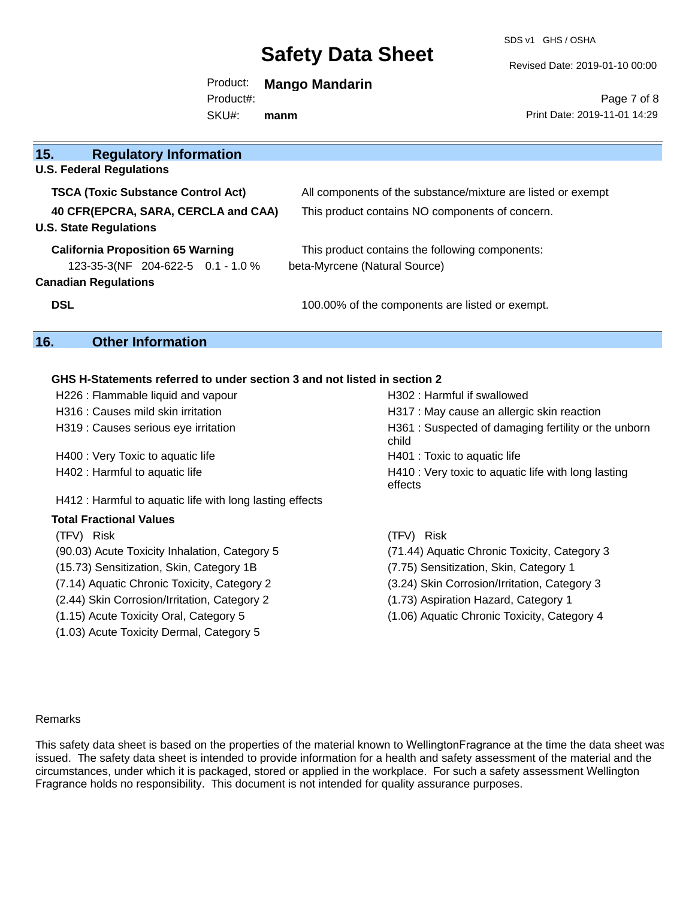SDS v1 GHS / OSHA

Revised Date: 2019-01-10 00:00

Product: **Mango Mandarin** SKU#: Product#: **manm**

Page 7 of 8 Print Date: 2019-11-01 14:29

| 15.<br><b>Regulatory Information</b>      |                                                              |
|-------------------------------------------|--------------------------------------------------------------|
| <b>U.S. Federal Regulations</b>           |                                                              |
| <b>TSCA (Toxic Substance Control Act)</b> | All components of the substance/mixture are listed or exempt |
| 40 CFR(EPCRA, SARA, CERCLA and CAA)       | This product contains NO components of concern.              |
| <b>U.S. State Regulations</b>             |                                                              |
| <b>California Proposition 65 Warning</b>  | This product contains the following components:              |
| 123-35-3(NF 204-622-5 0.1 - 1.0 %         | beta-Myrcene (Natural Source)                                |
| <b>Canadian Regulations</b>               |                                                              |
| <b>DSL</b>                                | 100.00% of the components are listed or exempt.              |
|                                           |                                                              |

## **16. Other Information**

#### **GHS H-Statements referred to under section 3 and not listed in section 2**

| H226 : Flammable liquid and vapour                       | H302 : Harmful if swallowed                                    |
|----------------------------------------------------------|----------------------------------------------------------------|
| H316 : Causes mild skin irritation                       | H317 : May cause an allergic skin reaction                     |
| H319 : Causes serious eye irritation                     | H361: Suspected of damaging fertility or the unborn<br>child   |
| H400 : Very Toxic to aquatic life                        | H401 : Toxic to aquatic life                                   |
| H402 : Harmful to aquatic life                           | H410 : Very toxic to aquatic life with long lasting<br>effects |
| H412 : Harmful to aquatic life with long lasting effects |                                                                |
| Total Fractional Values                                  |                                                                |
| (TFV) Risk                                               | Risk<br>(TFV) -                                                |
| (90.03) Acute Toxicity Inhalation, Category 5            | (71.44) Aquatic Chronic Toxicity, Category 3                   |
| (15.73) Sensitization, Skin, Category 1B                 | (7.75) Sensitization, Skin, Category 1                         |
| (7.14) Aquatic Chronic Toxicity, Category 2              | (3.24) Skin Corrosion/Irritation, Category 3                   |
| (2.44) Skin Corrosion/Irritation, Category 2             | (1.73) Aspiration Hazard, Category 1                           |
| (1.15) Acute Toxicity Oral, Category 5                   | (1.06) Aquatic Chronic Toxicity, Category 4                    |
| (1.03) Acute Toxicity Dermal, Category 5                 |                                                                |

#### Remarks

This safety data sheet is based on the properties of the material known to WellingtonFragrance at the time the data sheet was issued. The safety data sheet is intended to provide information for a health and safety assessment of the material and the circumstances, under which it is packaged, stored or applied in the workplace. For such a safety assessment Wellington Fragrance holds no responsibility. This document is not intended for quality assurance purposes.